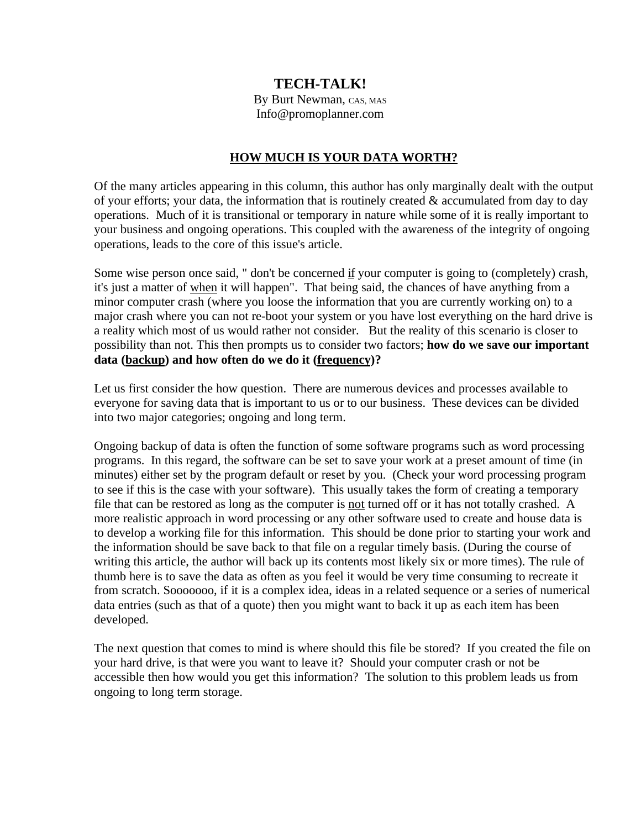## **TECH-TALK!**

By Burt Newman, CAS, MAS Info@promoplanner.com

## **HOW MUCH IS YOUR DATA WORTH?**

Of the many articles appearing in this column, this author has only marginally dealt with the output of your efforts; your data, the information that is routinely created  $\&$  accumulated from day to day operations. Much of it is transitional or temporary in nature while some of it is really important to your business and ongoing operations. This coupled with the awareness of the integrity of ongoing operations, leads to the core of this issue's article.

Some wise person once said, " don't be concerned if your computer is going to (completely) crash, it's just a matter of when it will happen". That being said, the chances of have anything from a minor computer crash (where you loose the information that you are currently working on) to a major crash where you can not re-boot your system or you have lost everything on the hard drive is a reality which most of us would rather not consider. But the reality of this scenario is closer to possibility than not. This then prompts us to consider two factors; **how do we save our important data (backup) and how often do we do it (frequency)?**

Let us first consider the how question. There are numerous devices and processes available to everyone for saving data that is important to us or to our business. These devices can be divided into two major categories; ongoing and long term.

Ongoing backup of data is often the function of some software programs such as word processing programs. In this regard, the software can be set to save your work at a preset amount of time (in minutes) either set by the program default or reset by you. (Check your word processing program to see if this is the case with your software). This usually takes the form of creating a temporary file that can be restored as long as the computer is not turned off or it has not totally crashed. A more realistic approach in word processing or any other software used to create and house data is to develop a working file for this information. This should be done prior to starting your work and the information should be save back to that file on a regular timely basis. (During the course of writing this article, the author will back up its contents most likely six or more times). The rule of thumb here is to save the data as often as you feel it would be very time consuming to recreate it from scratch. Sooooooo, if it is a complex idea, ideas in a related sequence or a series of numerical data entries (such as that of a quote) then you might want to back it up as each item has been developed.

The next question that comes to mind is where should this file be stored? If you created the file on your hard drive, is that were you want to leave it? Should your computer crash or not be accessible then how would you get this information? The solution to this problem leads us from ongoing to long term storage.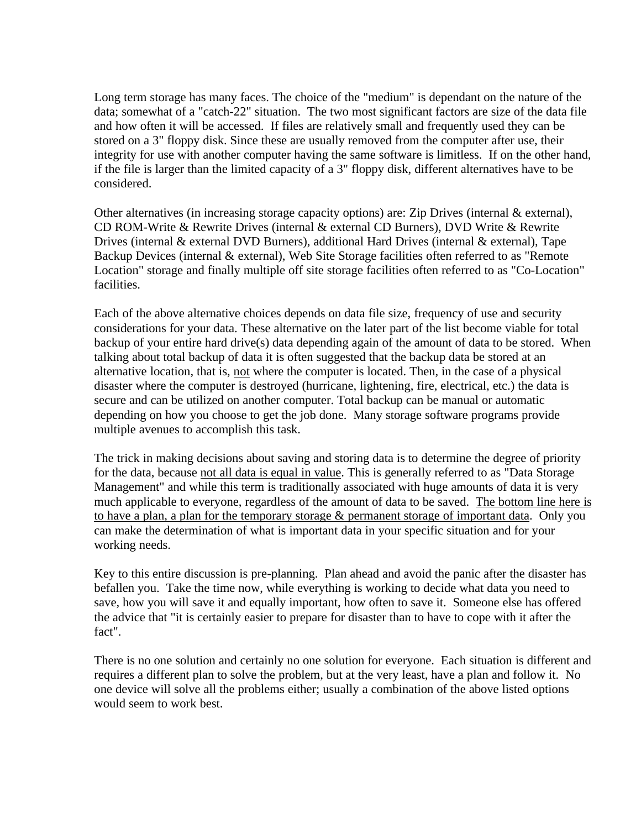Long term storage has many faces. The choice of the "medium" is dependant on the nature of the data; somewhat of a "catch-22" situation. The two most significant factors are size of the data file and how often it will be accessed. If files are relatively small and frequently used they can be stored on a 3" floppy disk. Since these are usually removed from the computer after use, their integrity for use with another computer having the same software is limitless. If on the other hand, if the file is larger than the limited capacity of a 3" floppy disk, different alternatives have to be considered.

Other alternatives (in increasing storage capacity options) are: Zip Drives (internal & external), CD ROM-Write & Rewrite Drives (internal & external CD Burners), DVD Write & Rewrite Drives (internal & external DVD Burners), additional Hard Drives (internal & external), Tape Backup Devices (internal & external), Web Site Storage facilities often referred to as "Remote Location" storage and finally multiple off site storage facilities often referred to as "Co-Location" facilities.

Each of the above alternative choices depends on data file size, frequency of use and security considerations for your data. These alternative on the later part of the list become viable for total backup of your entire hard drive(s) data depending again of the amount of data to be stored. When talking about total backup of data it is often suggested that the backup data be stored at an alternative location, that is, not where the computer is located. Then, in the case of a physical disaster where the computer is destroyed (hurricane, lightening, fire, electrical, etc.) the data is secure and can be utilized on another computer. Total backup can be manual or automatic depending on how you choose to get the job done. Many storage software programs provide multiple avenues to accomplish this task.

The trick in making decisions about saving and storing data is to determine the degree of priority for the data, because not all data is equal in value. This is generally referred to as "Data Storage Management" and while this term is traditionally associated with huge amounts of data it is very much applicable to everyone, regardless of the amount of data to be saved. The bottom line here is to have a plan, a plan for the temporary storage & permanent storage of important data. Only you can make the determination of what is important data in your specific situation and for your working needs.

Key to this entire discussion is pre-planning. Plan ahead and avoid the panic after the disaster has befallen you. Take the time now, while everything is working to decide what data you need to save, how you will save it and equally important, how often to save it. Someone else has offered the advice that "it is certainly easier to prepare for disaster than to have to cope with it after the fact".

There is no one solution and certainly no one solution for everyone. Each situation is different and requires a different plan to solve the problem, but at the very least, have a plan and follow it. No one device will solve all the problems either; usually a combination of the above listed options would seem to work best.